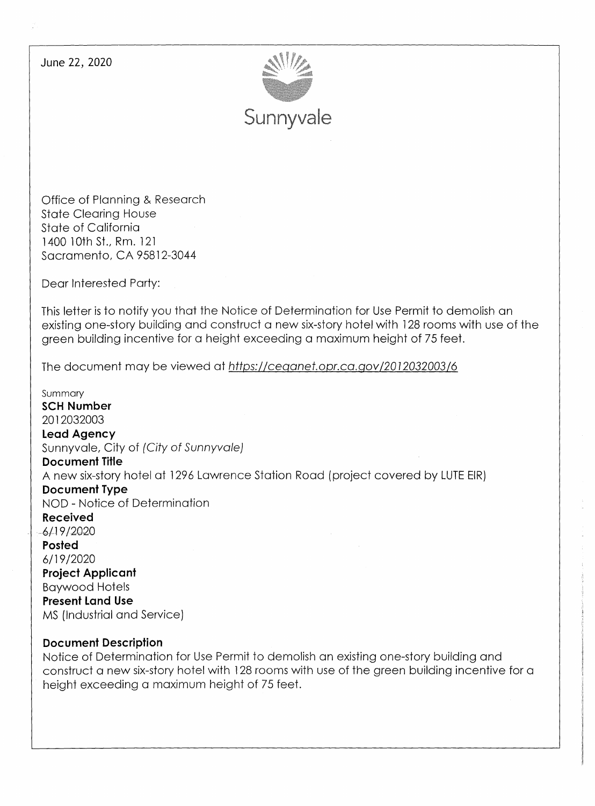June 22, 2020



Office of Planning & Research State Clearing House State of California 1400 10th St., Rm. 121 Sacramento, CA 95812-3044

Dear Interested Party:

This letter is to notify you that the Notice of Determination for Use Permit to demolish an existing one-story building and construct a new six-story hotel with 128 rooms with use of the green building incentive for a height exceeding a maximum height of 75 feet.

The document may be viewed at https://ceqanet.opr.ca.gov/2012032003/6

Summary **SCH Number**  2012032003 **Lead Agency**  Sunnyvale, City of (City of Sunnyvale) **Document Title**  A new six-story hotel at 1296 Lawrence Station Road ( project covered by LUTE EIR) **Document Type**  NOD - Notice of Determination **Received**   $-6/19/2020$ **Posted**  6/19/2020 **Project Applicant**  Baywood Hotels **Present Land Use**  MS (Industrial and Service)

#### **Document Description**

Notice of Determination for Use Permit to demolish an existing one-story building and construct a new six-story hotel with 128 rooms with use of the green building incentive for a height exceeding a maximum height of 75 feet.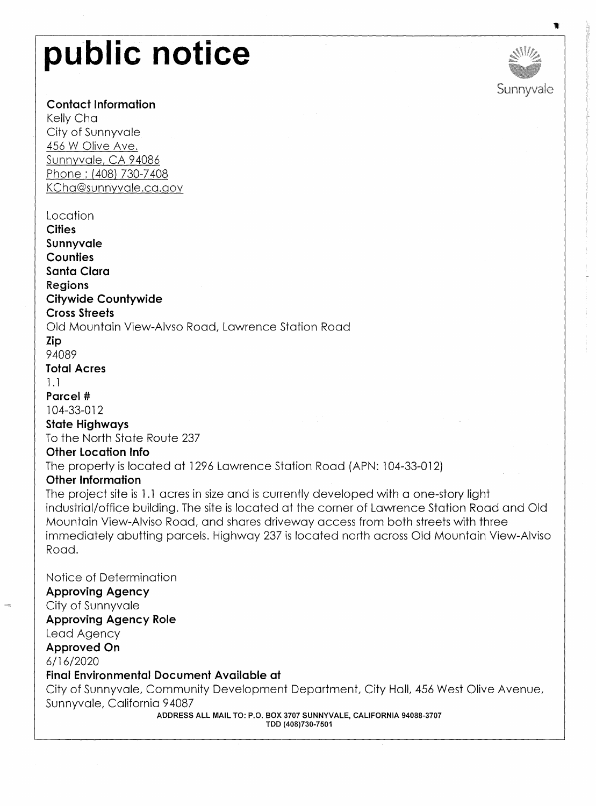# **public notice**

### **Contact Information**

Kelly Cha City of Sunnyvale 456 W Olive Ave. Sunnyvale, CA 94086 Phone: (408) 730-7 408 KCha@sunnyvale.ca.gov

#### Location

**Cities** 

**Sunnyvale Counties Santa Clara Regions Citywide Countywide Cross Streets**  Old Mountain Yiew-Alvso Road, Lawrence Station Road **Zip**  94089 **Total Acres**  1.1 **Parcel#**  104-33-012 **State Highways**  To the North State Route 237 **Other Location Info**  The property is located at 1296 Lawrence Station Road (APN: 104-33-012) **Other Information**  The project site is 1.1 acres in size and is currently developed with a one-story light industrial/office building. The site is located at the corner of Lawrence Station Road and Old Mountain View-Alviso Road, and shares driveway access from both streets with three immediately abutting parcels. Highway 237 is located north across Old Mountain View-Alviso Road.

Notice of Determination **Approving Agency**  City of Sunnyvale **Approving Agency Role**  Lead Agency **Approved On**  6/16/2020 **Final Environmental Document Available at**  City of Sunnyvale, Community Development Department, City Hall, 456 West Olive Avenue, Sunnyvale, California 94087

> **ADDRESS ALL MAIL TO: P.O. BOX 3707 SUNNYVALE, CALIFORNIA 94088-3707 TDD (408)730-7501**